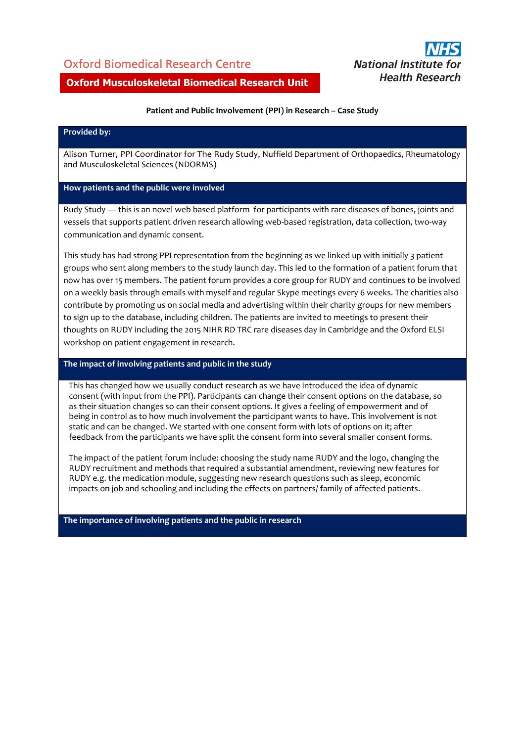## Oxford Biomedical Research Centre



## **Oxford Musculoskeletal Biomedical Research Unit**

## **Patient and Public Involvement (PPI) in Research – Case Study**

#### **Provided by:**

Alison Turner, PPI Coordinator for The Rudy Study, Nuffield Department of Orthopaedics, Rheumatology and Musculoskeletal Sciences (NDORMS)

#### **How patients and the public were involved**

Rudy Study — this is an novel web based platform for participants with rare diseases of bones, joints and vessels that supports patient driven research allowing web-based registration, data collection, two-way communication and dynamic consent.

This study has had strong PPI representation from the beginning as we linked up with initially 3 patient groups who sent along members to the study launch day. This led to the formation of a patient forum that now has over 15 members. The patient forum provides a core group for RUDY and continues to be involved on a weekly basis through emails with myself and regular Skype meetings every 6 weeks. The charities also contribute by promoting us on social media and advertising within their charity groups for new members to sign up to the database, including children. The patients are invited to meetings to present their thoughts on RUDY including the 2015 NIHR RD TRC rare diseases day in Cambridge and the Oxford ELSI workshop on patient engagement in research.

#### **The impact of involving patients and public in the study**

This has changed how we usually conduct research as we have introduced the idea of dynamic consent (with input from the PPI). Participants can change their consent options on the database, so as their situation changes so can their consent options. It gives a feeling of empowerment and of being in control as to how much involvement the participant wants to have. This involvement is not static and can be changed. We started with one consent form with lots of options on it; after feedback from the participants we have split the consent form into several smaller consent forms.

The impact of the patient forum include: choosing the study name RUDY and the logo, changing the RUDY recruitment and methods that required a substantial amendment, reviewing new features for RUDY e.g. the medication module, suggesting new research questions such as sleep, economic impacts on job and schooling and including the effects on partners/ family of affected patients.

**The importance of involving patients and the public in research**